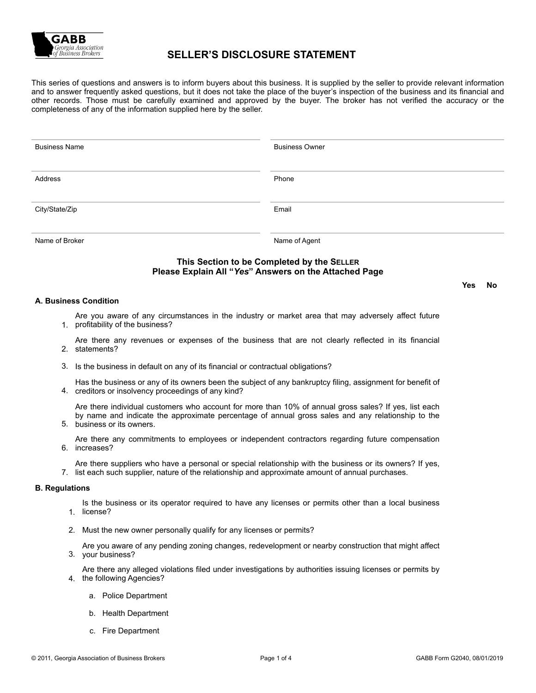

# **SELLER'S DISCLOSURE STATEMENT**

This series of questions and answers is to inform buyers about this business. It is supplied by the seller to provide relevant information and to answer frequently asked questions, but it does not take the place of the buyer's inspection of the business and its financial and other records. Those must be carefully examined and approved by the buyer. The broker has not verified the accuracy or the completeness of any of the information supplied here by the seller.

| <b>Business Name</b>                       | <b>Business Owner</b> |  |
|--------------------------------------------|-----------------------|--|
| Address                                    | Phone                 |  |
| City/State/Zip                             | Email                 |  |
| Name of Broker                             | Name of Agent         |  |
| This Section to be Completed by the SELLER |                       |  |

### **Please Explain All "***Yes***" Answers on the Attached Page**

#### **A. Business Condition**

1. profitability of the business? Are you aware of any circumstances in the industry or market area that may adversely affect future

2. statements? Are there any revenues or expenses of the business that are not clearly reflected in its financial

3. Is the business in default on any of its financial or contractual obligations?

4. creditors or insolvency proceedings of any kind? Has the business or any of its owners been the subject of any bankruptcy filing, assignment for benefit of

Are there individual customers who account for more than 10% of annual gross sales? If yes, list each by name and indicate the approximate percentage of annual gross sales and any relationship to the

5. business or its owners.

6. increases? Are there any commitments to employees or independent contractors regarding future compensation

Are there suppliers who have a personal or special relationship with the business or its owners? If yes,

7. list each such supplier, nature of the relationship and approximate amount of annual purchases.

#### **B. Regulations**

1. license? Is the business or its operator required to have any licenses or permits other than a local business

2. Must the new owner personally qualify for any licenses or permits?

3. your business? Are you aware of any pending zoning changes, redevelopment or nearby construction that might affect

4. the following Agencies? Are there any alleged violations filed under investigations by authorities issuing licenses or permits by

- a. Police Department
- b. Health Department
- c. Fire Department

**Yes No**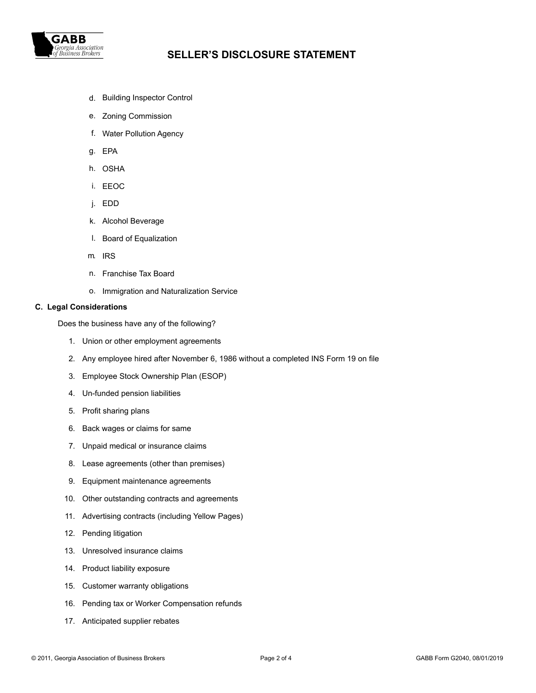

# *Georgia Association*<br>Of Business Brokers **SELLER'S DISCLOSURE STATEMENT**

- d. Building Inspector Control
- e. Zoning Commission
- f. Water Pollution Agency
- g. EPA
- h. OSHA
- i. EEOC
- j. EDD
- k. Alcohol Beverage
- l. Board of Equalization
- m. IRS
- n. Franchise Tax Board
- o. Immigration and Naturalization Service

#### **C. Legal Considerations**

Does the business have any of the following?

- 1. Union or other employment agreements
- 2. Any employee hired after November 6, 1986 without a completed INS Form 19 on file
- 3. Employee Stock Ownership Plan (ESOP)
- 4. Un-funded pension liabilities
- 5. Profit sharing plans
- 6. Back wages or claims for same
- 7. Unpaid medical or insurance claims
- 8. Lease agreements (other than premises)
- 9. Equipment maintenance agreements
- 10. Other outstanding contracts and agreements
- 11. Advertising contracts (including Yellow Pages)
- 12. Pending litigation
- 13. Unresolved insurance claims
- 14. Product liability exposure
- 15. Customer warranty obligations
- 16. Pending tax or Worker Compensation refunds
- 17. Anticipated supplier rebates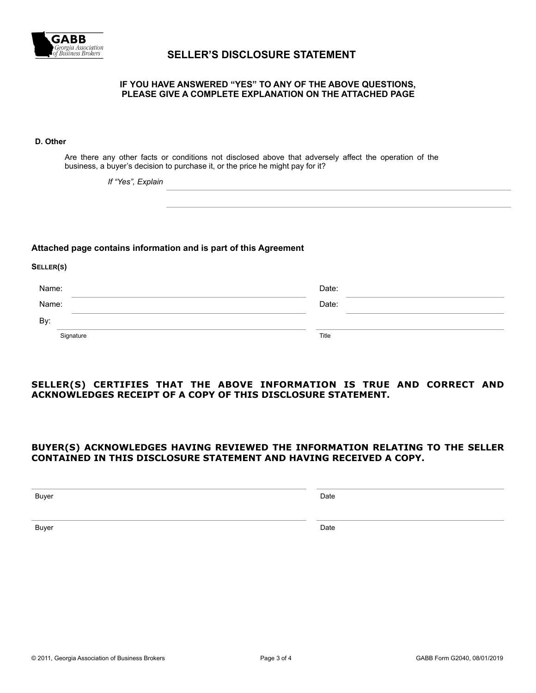

# *Georgia Association*<br>of Business Brokers **SELLER'S DISCLOSURE STATEMENT**

#### **IF YOU HAVE ANSWERED "YES" TO ANY OF THE ABOVE QUESTIONS, PLEASE GIVE A COMPLETE EXPLANATION ON THE ATTACHED PAGE**

#### **D. Other**

**SELLER(S)**

Are there any other facts or conditions not disclosed above that adversely affect the operation of the business, a buyer's decision to purchase it, or the price he might pay for it?

*If "Yes", Explain*

#### **Attached page contains information and is part of this Agreement**

| Name: |           | Date: |  |
|-------|-----------|-------|--|
| Name: |           | Date: |  |
| By:   |           |       |  |
|       | Signature | Title |  |

## **SELLER(S) CERTIFIES THAT THE ABOVE INFORMATION IS TRUE AND CORRECT AND ACKNOWLEDGES RECEIPT OF A COPY OF THIS DISCLOSURE STATEMENT.**

### **BUYER(S) ACKNOWLEDGES HAVING REVIEWED THE INFORMATION RELATING TO THE SELLER CONTAINED IN THIS DISCLOSURE STATEMENT AND HAVING RECEIVED A COPY.**

Buyer Date

Buyer Date